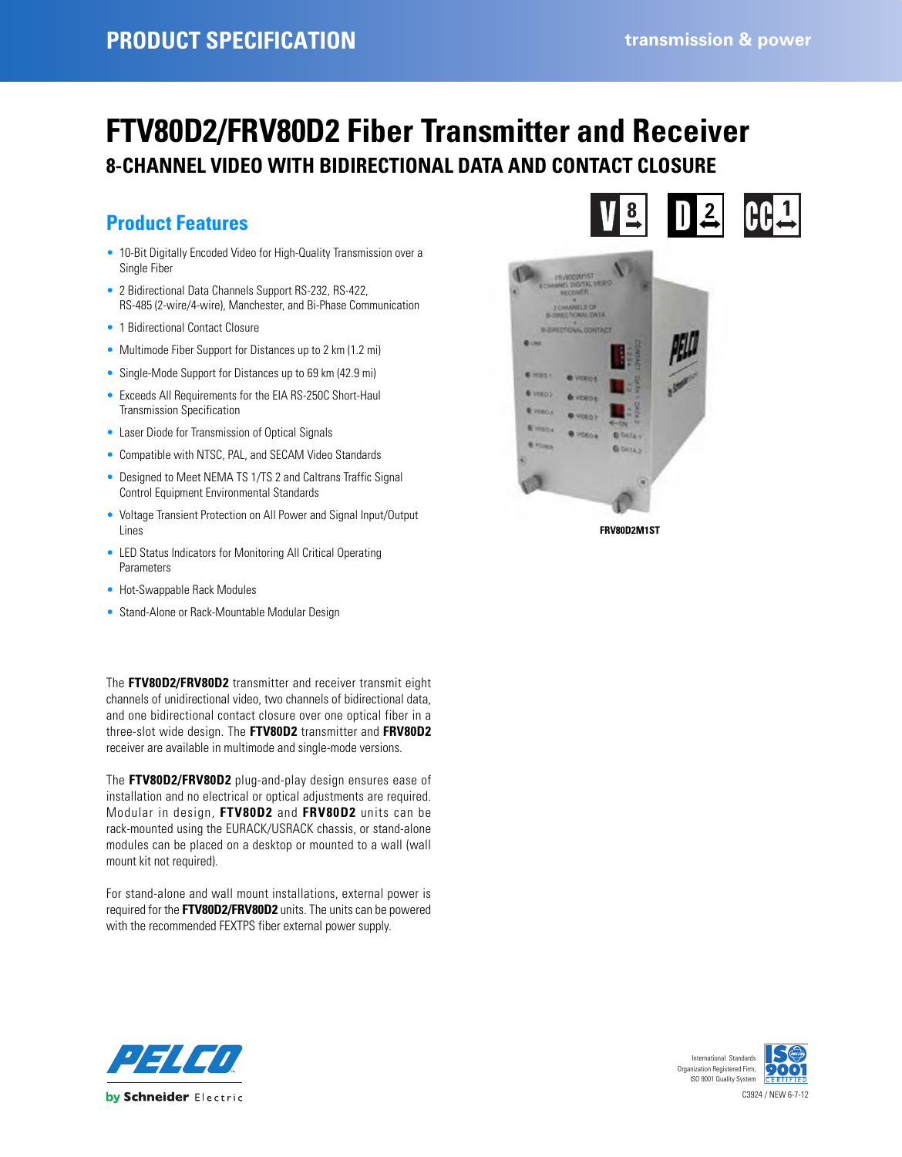# **FTV80D2/FRV80D2 Fiber Transmitter and Receiver 8-CHANNEL VIDEO WITH BIDIRECTIONAL DATA AND CONTACT CLOSURE**

### **Product Features**

- 10-Bit Digitally Encoded Video for High-Quality Transmission over a Single Fiber
- 2 Bidirectional Data Channels Support RS-232, RS-422, RS-485 (2-wire/4-wire), Manchester, and Bi-Phase Communication
- 1 Bidirectional Contact Closure
- Multimode Fiber Support for Distances up to 2 km (1.2 mi)
- Single-Mode Support for Distances up to 69 km (42.9 mi)
- Exceeds All Requirements for the EIA RS-250C Short-Haul Transmission Specification
- Laser Diode for Transmission of Optical Signals
- Compatible with NTSC, PAL, and SECAM Video Standards
- Designed to Meet NEMA TS 1/TS 2 and Caltrans Traffic Signal Control Equipment Environmental Standards
- Voltage Transient Protection on All Power and Signal Input/Output Lines
- LED Status Indicators for Monitoring All Critical Operating Parameters
- Hot-Swappable Rack Modules
- Stand-Alone or Rack-Mountable Modular Design

The **FTV80D2/FRV80D2** transmitter and receiver transmit eight channels of unidirectional video, two channels of bidirectional data, and one bidirectional contact closure over one optical fiber in a three-slot wide design. The **FTV80D2** transmitter and **FRV80D2** receiver are available in multimode and single-mode versions.

The **FTV80D2/FRV80D2** plug-and-play design ensures ease of installation and no electrical or optical adjustments are required. Modular in design, **FTV80D2** and **FRV80D2** units can be rack-mounted using the EURACK/USRACK chassis, or stand-alone modules can be placed on a desktop or mounted to a wall (wall mount kit not required).

For stand-alone and wall mount installations, external power is required for the **FTV80D2/FRV80D2** units. The units can be powered with the recommended FEXTPS fiber external power supply.





**FRV80D2M1ST**



C3924 / NEW 6-7-12 International Standard Organization Registered Firm; ISO 9001 Quality System